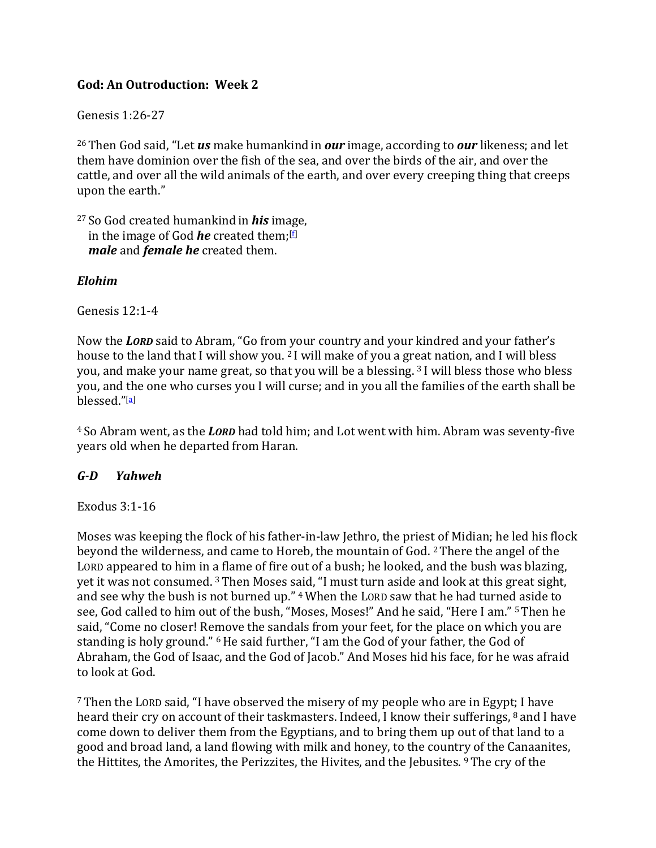### **God: An Outroduction: Week 2**

Genesis 1:26-27

26 Then God said, "Let *us* make humankind in *our* image, according to *our* likeness; and let them have dominion over the fish of the sea, and over the birds of the air, and over the cattle, and over all the wild animals of the earth, and over every creeping thing that creeps upon the earth."

27 So God created humankind in *his* image, in the image of God *he* created them;[f] *male* and *female he* created them.

#### *Elohim*

Genesis 12:1-4

Now the *LORD* said to Abram, "Go from your country and your kindred and your father's house to the land that I will show you. 2 I will make of you a great nation, and I will bless you, and make your name great, so that you will be a blessing. 3 I will bless those who bless you, and the one who curses you I will curse; and in you all the families of the earth shall be blessed."[a]

4 So Abram went, as the *LORD* had told him; and Lot went with him. Abram was seventy-five years old when he departed from Haran.

#### *G‐D Yahweh*

#### Exodus 3:1-16

Moses was keeping the flock of his father-in-law Jethro, the priest of Midian; he led his flock beyond the wilderness, and came to Horeb, the mountain of God. 2 There the angel of the LORD appeared to him in a flame of fire out of a bush; he looked, and the bush was blazing, yet it was not consumed. 3 Then Moses said, "I must turn aside and look at this great sight, and see why the bush is not burned up." 4 When the LORD saw that he had turned aside to see, God called to him out of the bush, "Moses, Moses!" And he said, "Here I am." 5 Then he said, "Come no closer! Remove the sandals from your feet, for the place on which you are standing is holy ground." 6 He said further, "I am the God of your father, the God of Abraham, the God of Isaac, and the God of Jacob." And Moses hid his face, for he was afraid to look at God.

7 Then the LORD said, "I have observed the misery of my people who are in Egypt; I have heard their cry on account of their taskmasters. Indeed, I know their sufferings, 8 and I have come down to deliver them from the Egyptians, and to bring them up out of that land to a good and broad land, a land flowing with milk and honey, to the country of the Canaanites, the Hittites, the Amorites, the Perizzites, the Hivites, and the Jebusites. 9 The cry of the